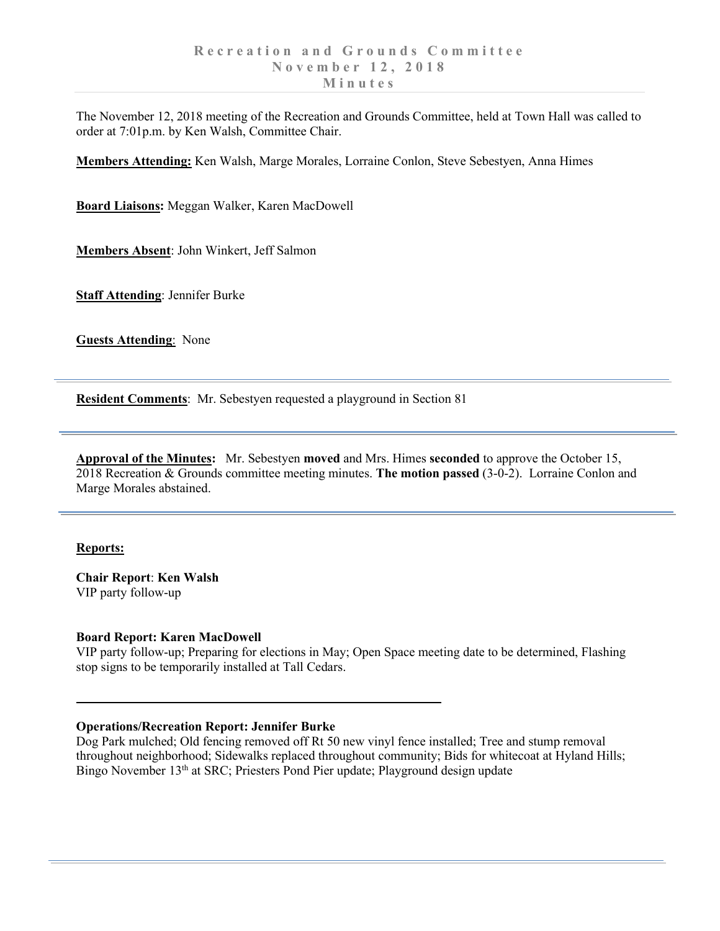The November 12, 2018 meeting of the Recreation and Grounds Committee, held at Town Hall was called to order at 7:01p.m. by Ken Walsh, Committee Chair.

**Members Attending:** Ken Walsh, Marge Morales, Lorraine Conlon, Steve Sebestyen, Anna Himes

**Board Liaisons:** Meggan Walker, Karen MacDowell

**Members Absent**: John Winkert, Jeff Salmon

**Staff Attending**: Jennifer Burke

**Guests Attending**: None

**Resident Comments**: Mr. Sebestyen requested a playground in Section 81

**Approval of the Minutes:** Mr. Sebestyen **moved** and Mrs. Himes **seconded** to approve the October 15, 2018 Recreation & Grounds committee meeting minutes. **The motion passed** (3-0-2). Lorraine Conlon and Marge Morales abstained.

### **Reports:**

**Chair Report**: **Ken Walsh** VIP party follow-up

### **Board Report: Karen MacDowell**

VIP party follow-up; Preparing for elections in May; Open Space meeting date to be determined, Flashing stop signs to be temporarily installed at Tall Cedars.

## **Operations/Recreation Report: Jennifer Burke**

Dog Park mulched; Old fencing removed off Rt 50 new vinyl fence installed; Tree and stump removal throughout neighborhood; Sidewalks replaced throughout community; Bids for whitecoat at Hyland Hills; Bingo November 13<sup>th</sup> at SRC; Priesters Pond Pier update; Playground design update